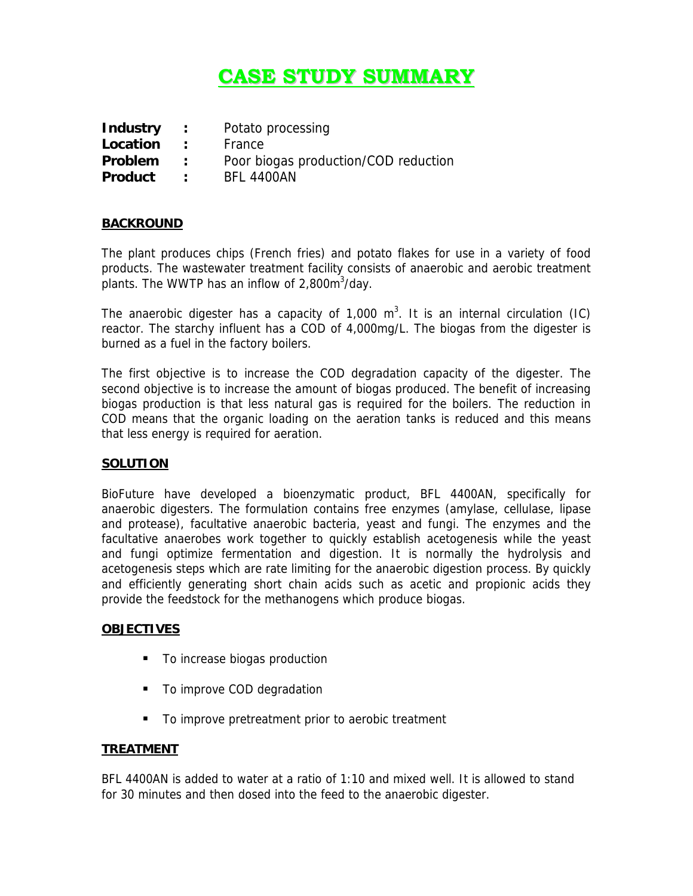# **CASE STUDY SUMMARY**

| <b>Industry</b> | $\sim$ 100 $\sim$           | Potato processing                    |
|-----------------|-----------------------------|--------------------------------------|
| Location        | $\sim$ $\sim$ $\sim$        | France                               |
| Problem         | $\sim$ 100 $\sim$           | Poor biogas production/COD reduction |
| <b>Product</b>  | $\sim$ $\sim$ $\sim$ $\sim$ | <b>BFL 4400AN</b>                    |

## **BACKROUND**

The plant produces chips (French fries) and potato flakes for use in a variety of food products. The wastewater treatment facility consists of anaerobic and aerobic treatment plants. The WWTP has an inflow of 2,800 $\text{m}^3$ /day.

The anaerobic digester has a capacity of 1,000  $m^3$ . It is an internal circulation (IC) reactor. The starchy influent has a COD of 4,000mg/L. The biogas from the digester is burned as a fuel in the factory boilers.

The first objective is to increase the COD degradation capacity of the digester. The second objective is to increase the amount of biogas produced. The benefit of increasing biogas production is that less natural gas is required for the boilers. The reduction in COD means that the organic loading on the aeration tanks is reduced and this means that less energy is required for aeration.

# **SOLUTION**

BioFuture have developed a bioenzymatic product, BFL 4400AN, specifically for anaerobic digesters. The formulation contains free enzymes (amylase, cellulase, lipase and protease), facultative anaerobic bacteria, yeast and fungi. The enzymes and the facultative anaerobes work together to quickly establish acetogenesis while the yeast and fungi optimize fermentation and digestion. It is normally the hydrolysis and acetogenesis steps which are rate limiting for the anaerobic digestion process. By quickly and efficiently generating short chain acids such as acetic and propionic acids they provide the feedstock for the methanogens which produce biogas.

#### **OBJECTIVES**

- **To increase biogas production**
- To improve COD degradation
- To improve pretreatment prior to aerobic treatment

#### **TREATMENT**

BFL 4400AN is added to water at a ratio of 1:10 and mixed well. It is allowed to stand for 30 minutes and then dosed into the feed to the anaerobic digester.